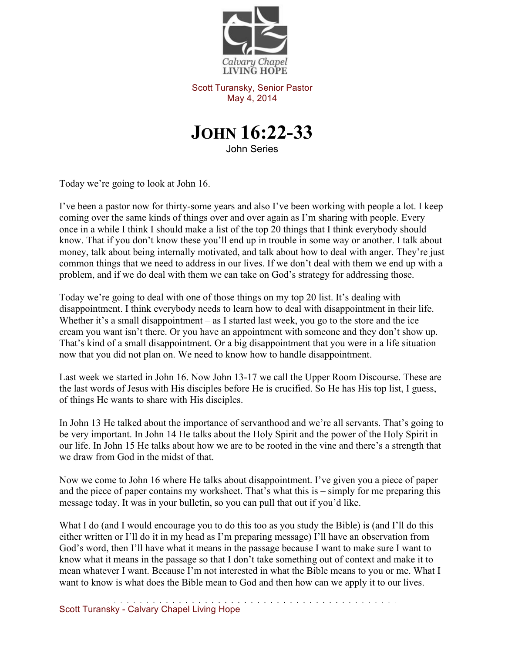

Scott Turansky, Senior Pastor May 4, 2014



John Series

Today we're going to look at John 16.

I've been a pastor now for thirty-some years and also I've been working with people a lot. I keep coming over the same kinds of things over and over again as I'm sharing with people. Every once in a while I think I should make a list of the top 20 things that I think everybody should know. That if you don't know these you'll end up in trouble in some way or another. I talk about money, talk about being internally motivated, and talk about how to deal with anger. They're just common things that we need to address in our lives. If we don't deal with them we end up with a problem, and if we do deal with them we can take on God's strategy for addressing those.

Today we're going to deal with one of those things on my top 20 list. It's dealing with disappointment. I think everybody needs to learn how to deal with disappointment in their life. Whether it's a small disappointment – as I started last week, you go to the store and the ice cream you want isn't there. Or you have an appointment with someone and they don't show up. That's kind of a small disappointment. Or a big disappointment that you were in a life situation now that you did not plan on. We need to know how to handle disappointment.

Last week we started in John 16. Now John 13-17 we call the Upper Room Discourse. These are the last words of Jesus with His disciples before He is crucified. So He has His top list, I guess, of things He wants to share with His disciples.

In John 13 He talked about the importance of servanthood and we're all servants. That's going to be very important. In John 14 He talks about the Holy Spirit and the power of the Holy Spirit in our life. In John 15 He talks about how we are to be rooted in the vine and there's a strength that we draw from God in the midst of that.

Now we come to John 16 where He talks about disappointment. I've given you a piece of paper and the piece of paper contains my worksheet. That's what this is – simply for me preparing this message today. It was in your bulletin, so you can pull that out if you'd like.

What I do (and I would encourage you to do this too as you study the Bible) is (and I'll do this either written or I'll do it in my head as I'm preparing message) I'll have an observation from God's word, then I'll have what it means in the passage because I want to make sure I want to know what it means in the passage so that I don't take something out of context and make it to mean whatever I want. Because I'm not interested in what the Bible means to you or me. What I want to know is what does the Bible mean to God and then how can we apply it to our lives.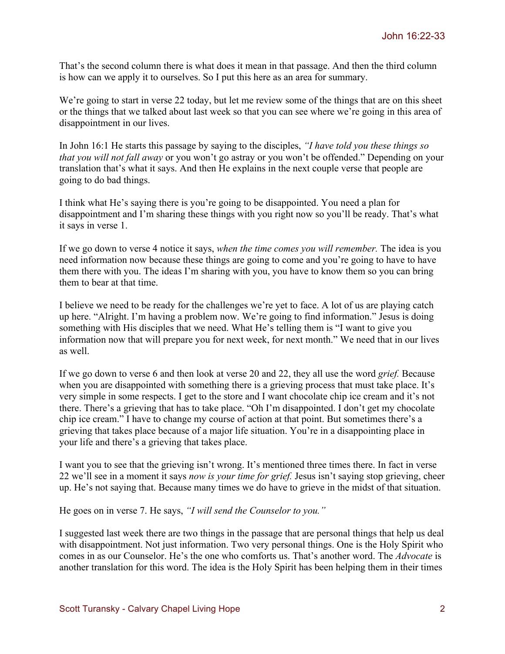That's the second column there is what does it mean in that passage. And then the third column is how can we apply it to ourselves. So I put this here as an area for summary.

We're going to start in verse 22 today, but let me review some of the things that are on this sheet or the things that we talked about last week so that you can see where we're going in this area of disappointment in our lives.

In John 16:1 He starts this passage by saying to the disciples, *"I have told you these things so that you will not fall away* or you won't go astray or you won't be offended." Depending on your translation that's what it says. And then He explains in the next couple verse that people are going to do bad things.

I think what He's saying there is you're going to be disappointed. You need a plan for disappointment and I'm sharing these things with you right now so you'll be ready. That's what it says in verse 1.

If we go down to verse 4 notice it says, *when the time comes you will remember.* The idea is you need information now because these things are going to come and you're going to have to have them there with you. The ideas I'm sharing with you, you have to know them so you can bring them to bear at that time.

I believe we need to be ready for the challenges we're yet to face. A lot of us are playing catch up here. "Alright. I'm having a problem now. We're going to find information." Jesus is doing something with His disciples that we need. What He's telling them is "I want to give you information now that will prepare you for next week, for next month." We need that in our lives as well.

If we go down to verse 6 and then look at verse 20 and 22, they all use the word *grief.* Because when you are disappointed with something there is a grieving process that must take place. It's very simple in some respects. I get to the store and I want chocolate chip ice cream and it's not there. There's a grieving that has to take place. "Oh I'm disappointed. I don't get my chocolate chip ice cream." I have to change my course of action at that point. But sometimes there's a grieving that takes place because of a major life situation. You're in a disappointing place in your life and there's a grieving that takes place.

I want you to see that the grieving isn't wrong. It's mentioned three times there. In fact in verse 22 we'll see in a moment it says *now is your time for grief.* Jesus isn't saying stop grieving, cheer up. He's not saying that. Because many times we do have to grieve in the midst of that situation.

He goes on in verse 7. He says, *"I will send the Counselor to you."*

I suggested last week there are two things in the passage that are personal things that help us deal with disappointment. Not just information. Two very personal things. One is the Holy Spirit who comes in as our Counselor. He's the one who comforts us. That's another word. The *Advocate* is another translation for this word. The idea is the Holy Spirit has been helping them in their times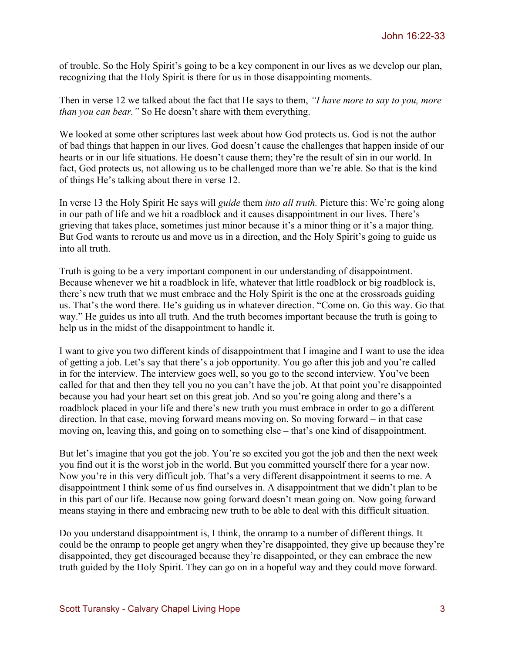of trouble. So the Holy Spirit's going to be a key component in our lives as we develop our plan, recognizing that the Holy Spirit is there for us in those disappointing moments.

Then in verse 12 we talked about the fact that He says to them, *"I have more to say to you, more than you can bear."* So He doesn't share with them everything.

We looked at some other scriptures last week about how God protects us. God is not the author of bad things that happen in our lives. God doesn't cause the challenges that happen inside of our hearts or in our life situations. He doesn't cause them; they're the result of sin in our world. In fact, God protects us, not allowing us to be challenged more than we're able. So that is the kind of things He's talking about there in verse 12.

In verse 13 the Holy Spirit He says will *guide* them *into all truth.* Picture this: We're going along in our path of life and we hit a roadblock and it causes disappointment in our lives. There's grieving that takes place, sometimes just minor because it's a minor thing or it's a major thing. But God wants to reroute us and move us in a direction, and the Holy Spirit's going to guide us into all truth.

Truth is going to be a very important component in our understanding of disappointment. Because whenever we hit a roadblock in life, whatever that little roadblock or big roadblock is, there's new truth that we must embrace and the Holy Spirit is the one at the crossroads guiding us. That's the word there. He's guiding us in whatever direction. "Come on. Go this way. Go that way." He guides us into all truth. And the truth becomes important because the truth is going to help us in the midst of the disappointment to handle it.

I want to give you two different kinds of disappointment that I imagine and I want to use the idea of getting a job. Let's say that there's a job opportunity. You go after this job and you're called in for the interview. The interview goes well, so you go to the second interview. You've been called for that and then they tell you no you can't have the job. At that point you're disappointed because you had your heart set on this great job. And so you're going along and there's a roadblock placed in your life and there's new truth you must embrace in order to go a different direction. In that case, moving forward means moving on. So moving forward – in that case moving on, leaving this, and going on to something else – that's one kind of disappointment.

But let's imagine that you got the job. You're so excited you got the job and then the next week you find out it is the worst job in the world. But you committed yourself there for a year now. Now you're in this very difficult job. That's a very different disappointment it seems to me. A disappointment I think some of us find ourselves in. A disappointment that we didn't plan to be in this part of our life. Because now going forward doesn't mean going on. Now going forward means staying in there and embracing new truth to be able to deal with this difficult situation.

Do you understand disappointment is, I think, the onramp to a number of different things. It could be the onramp to people get angry when they're disappointed, they give up because they're disappointed, they get discouraged because they're disappointed, or they can embrace the new truth guided by the Holy Spirit. They can go on in a hopeful way and they could move forward.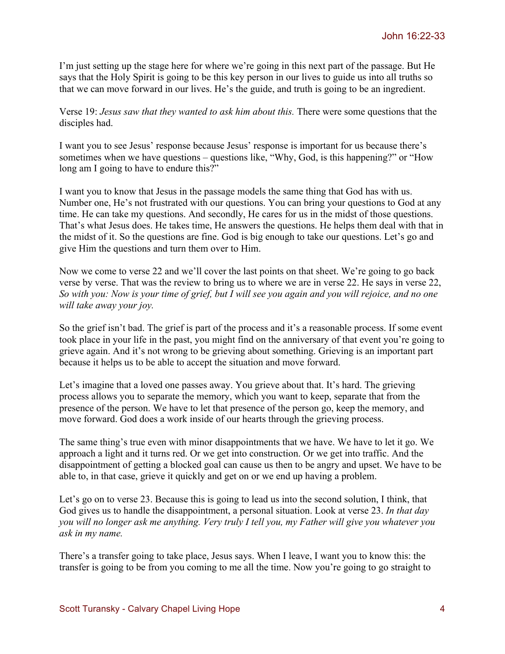I'm just setting up the stage here for where we're going in this next part of the passage. But He says that the Holy Spirit is going to be this key person in our lives to guide us into all truths so that we can move forward in our lives. He's the guide, and truth is going to be an ingredient.

Verse 19: *Jesus saw that they wanted to ask him about this.* There were some questions that the disciples had.

I want you to see Jesus' response because Jesus' response is important for us because there's sometimes when we have questions – questions like, "Why, God, is this happening?" or "How long am I going to have to endure this?"

I want you to know that Jesus in the passage models the same thing that God has with us. Number one, He's not frustrated with our questions. You can bring your questions to God at any time. He can take my questions. And secondly, He cares for us in the midst of those questions. That's what Jesus does. He takes time, He answers the questions. He helps them deal with that in the midst of it. So the questions are fine. God is big enough to take our questions. Let's go and give Him the questions and turn them over to Him.

Now we come to verse 22 and we'll cover the last points on that sheet. We're going to go back verse by verse. That was the review to bring us to where we are in verse 22. He says in verse 22, *So with you: Now is your time of grief, but I will see you again and you will rejoice, and no one will take away your joy.* 

So the grief isn't bad. The grief is part of the process and it's a reasonable process. If some event took place in your life in the past, you might find on the anniversary of that event you're going to grieve again. And it's not wrong to be grieving about something. Grieving is an important part because it helps us to be able to accept the situation and move forward.

Let's imagine that a loved one passes away. You grieve about that. It's hard. The grieving process allows you to separate the memory, which you want to keep, separate that from the presence of the person. We have to let that presence of the person go, keep the memory, and move forward. God does a work inside of our hearts through the grieving process.

The same thing's true even with minor disappointments that we have. We have to let it go. We approach a light and it turns red. Or we get into construction. Or we get into traffic. And the disappointment of getting a blocked goal can cause us then to be angry and upset. We have to be able to, in that case, grieve it quickly and get on or we end up having a problem.

Let's go on to verse 23. Because this is going to lead us into the second solution, I think, that God gives us to handle the disappointment, a personal situation. Look at verse 23. *In that day you will no longer ask me anything. Very truly I tell you, my Father will give you whatever you ask in my name.* 

There's a transfer going to take place, Jesus says. When I leave, I want you to know this: the transfer is going to be from you coming to me all the time. Now you're going to go straight to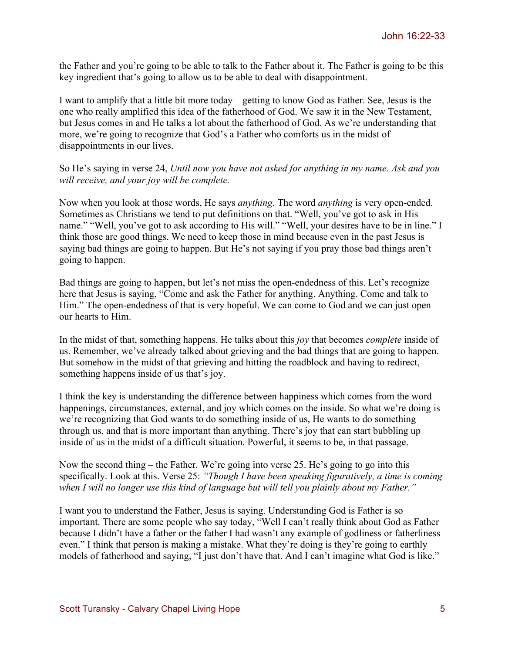the Father and you're going to be able to talk to the Father about it. The Father is going to be this key ingredient that's going to allow us to be able to deal with disappointment.

I want to amplify that a little bit more today – getting to know God as Father. See, Jesus is the one who really amplified this idea of the fatherhood of God. We saw it in the New Testament, but Jesus comes in and He talks a lot about the fatherhood of God. As we're understanding that more, we're going to recognize that God's a Father who comforts us in the midst of disappointments in our lives.

So He's saying in verse 24, *Until now you have not asked for anything in my name. Ask and you will receive, and your joy will be complete.*

Now when you look at those words, He says *anything*. The word *anything* is very open-ended. Sometimes as Christians we tend to put definitions on that. "Well, you've got to ask in His name." "Well, you've got to ask according to His will." "Well, your desires have to be in line." I think those are good things. We need to keep those in mind because even in the past Jesus is saying bad things are going to happen. But He's not saying if you pray those bad things aren't going to happen.

Bad things are going to happen, but let's not miss the open-endedness of this. Let's recognize here that Jesus is saying, "Come and ask the Father for anything. Anything. Come and talk to Him." The open-endedness of that is very hopeful. We can come to God and we can just open our hearts to Him.

In the midst of that, something happens. He talks about this *joy* that becomes *complete* inside of us. Remember, we've already talked about grieving and the bad things that are going to happen. But somehow in the midst of that grieving and hitting the roadblock and having to redirect, something happens inside of us that's joy.

I think the key is understanding the difference between happiness which comes from the word happenings, circumstances, external, and joy which comes on the inside. So what we're doing is we're recognizing that God wants to do something inside of us, He wants to do something through us, and that is more important than anything. There's joy that can start bubbling up inside of us in the midst of a difficult situation. Powerful, it seems to be, in that passage.

Now the second thing – the Father. We're going into verse 25. He's going to go into this specifically. Look at this. Verse 25: *"Though I have been speaking figuratively, a time is coming when I will no longer use this kind of language but will tell you plainly about my Father."* 

I want you to understand the Father, Jesus is saying. Understanding God is Father is so important. There are some people who say today, "Well I can't really think about God as Father because I didn't have a father or the father I had wasn't any example of godliness or fatherliness even." I think that person is making a mistake. What they're doing is they're going to earthly models of fatherhood and saying, "I just don't have that. And I can't imagine what God is like."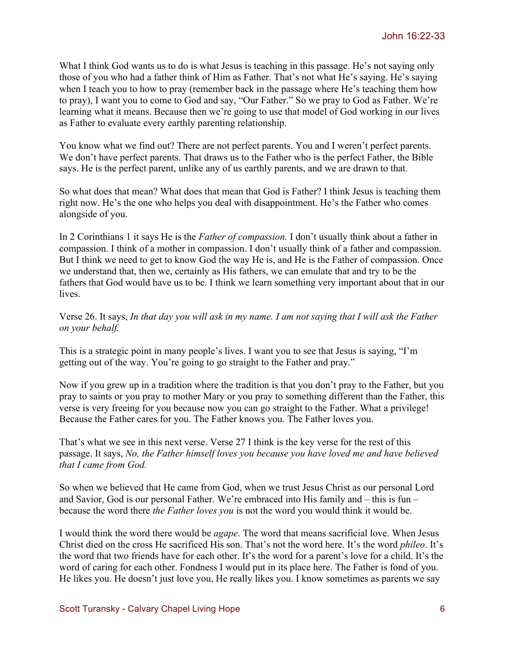What I think God wants us to do is what Jesus is teaching in this passage. He's not saying only those of you who had a father think of Him as Father. That's not what He's saying. He's saying when I teach you to how to pray (remember back in the passage where He's teaching them how to pray), I want you to come to God and say, "Our Father." So we pray to God as Father. We're learning what it means. Because then we're going to use that model of God working in our lives as Father to evaluate every earthly parenting relationship.

You know what we find out? There are not perfect parents. You and I weren't perfect parents. We don't have perfect parents. That draws us to the Father who is the perfect Father, the Bible says. He is the perfect parent, unlike any of us earthly parents, and we are drawn to that.

So what does that mean? What does that mean that God is Father? I think Jesus is teaching them right now. He's the one who helps you deal with disappointment. He's the Father who comes alongside of you.

In 2 Corinthians 1 it says He is the *Father of compassion.* I don't usually think about a father in compassion. I think of a mother in compassion. I don't usually think of a father and compassion. But I think we need to get to know God the way He is, and He is the Father of compassion. Once we understand that, then we, certainly as His fathers, we can emulate that and try to be the fathers that God would have us to be. I think we learn something very important about that in our **lives** 

Verse 26. It says, *In that day you will ask in my name. I am not saying that I will ask the Father on your behalf.*

This is a strategic point in many people's lives. I want you to see that Jesus is saying, "I'm getting out of the way. You're going to go straight to the Father and pray."

Now if you grew up in a tradition where the tradition is that you don't pray to the Father, but you pray to saints or you pray to mother Mary or you pray to something different than the Father, this verse is very freeing for you because now you can go straight to the Father. What a privilege! Because the Father cares for you. The Father knows you. The Father loves you.

That's what we see in this next verse. Verse 27 I think is the key verse for the rest of this passage. It says, *No, the Father himself loves you because you have loved me and have believed that I came from God.* 

So when we believed that He came from God, when we trust Jesus Christ as our personal Lord and Savior, God is our personal Father. We're embraced into His family and – this is fun – because the word there *the Father loves you* is not the word you would think it would be.

I would think the word there would be *agape*. The word that means sacrificial love. When Jesus Christ died on the cross He sacrificed His son. That's not the word here. It's the word *phileo*. It's the word that two friends have for each other. It's the word for a parent's love for a child. It's the word of caring for each other. Fondness I would put in its place here. The Father is fond of you. He likes you. He doesn't just love you, He really likes you. I know sometimes as parents we say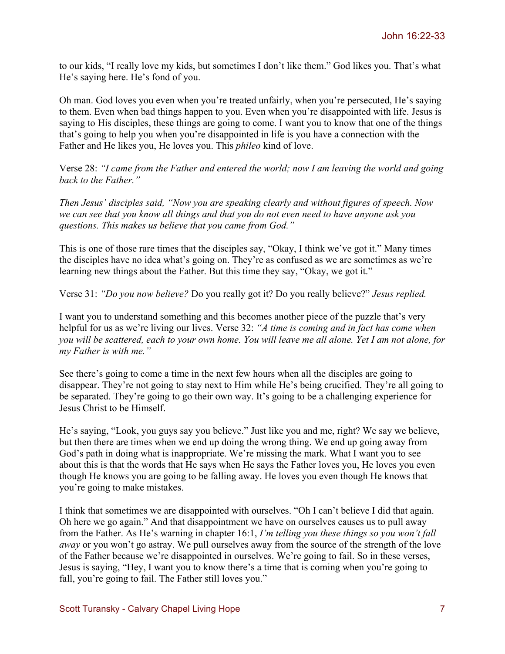to our kids, "I really love my kids, but sometimes I don't like them." God likes you. That's what He's saying here. He's fond of you.

Oh man. God loves you even when you're treated unfairly, when you're persecuted, He's saying to them. Even when bad things happen to you. Even when you're disappointed with life. Jesus is saying to His disciples, these things are going to come. I want you to know that one of the things that's going to help you when you're disappointed in life is you have a connection with the Father and He likes you, He loves you. This *phileo* kind of love.

Verse 28: *"I came from the Father and entered the world; now I am leaving the world and going back to the Father."*

*Then Jesus' disciples said, "Now you are speaking clearly and without figures of speech. Now we can see that you know all things and that you do not even need to have anyone ask you questions. This makes us believe that you came from God."*

This is one of those rare times that the disciples say, "Okay, I think we've got it." Many times the disciples have no idea what's going on. They're as confused as we are sometimes as we're learning new things about the Father. But this time they say, "Okay, we got it."

Verse 31: *"Do you now believe?* Do you really got it? Do you really believe?" *Jesus replied.*

I want you to understand something and this becomes another piece of the puzzle that's very helpful for us as we're living our lives. Verse 32: *"A time is coming and in fact has come when you will be scattered, each to your own home. You will leave me all alone. Yet I am not alone, for my Father is with me."*

See there's going to come a time in the next few hours when all the disciples are going to disappear. They're not going to stay next to Him while He's being crucified. They're all going to be separated. They're going to go their own way. It's going to be a challenging experience for Jesus Christ to be Himself.

He's saying, "Look, you guys say you believe." Just like you and me, right? We say we believe, but then there are times when we end up doing the wrong thing. We end up going away from God's path in doing what is inappropriate. We're missing the mark. What I want you to see about this is that the words that He says when He says the Father loves you, He loves you even though He knows you are going to be falling away. He loves you even though He knows that you're going to make mistakes.

I think that sometimes we are disappointed with ourselves. "Oh I can't believe I did that again. Oh here we go again." And that disappointment we have on ourselves causes us to pull away from the Father. As He's warning in chapter 16:1, *I'm telling you these things so you won't fall away* or you won't go astray. We pull ourselves away from the source of the strength of the love of the Father because we're disappointed in ourselves. We're going to fail. So in these verses, Jesus is saying, "Hey, I want you to know there's a time that is coming when you're going to fall, you're going to fail. The Father still loves you."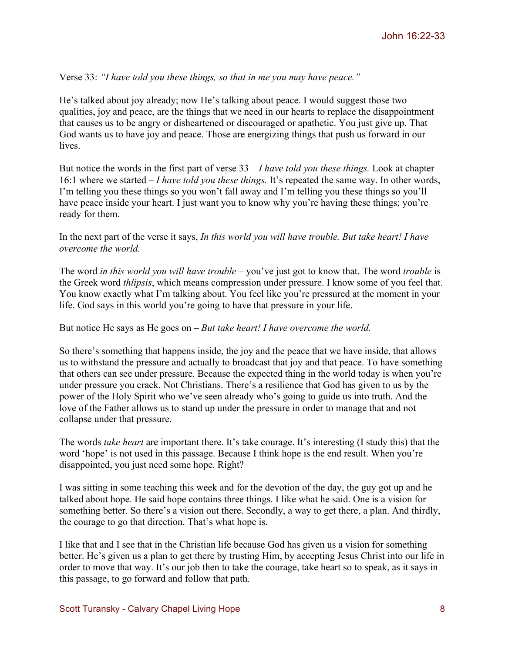Verse 33: *"I have told you these things, so that in me you may have peace."*

He's talked about joy already; now He's talking about peace. I would suggest those two qualities, joy and peace, are the things that we need in our hearts to replace the disappointment that causes us to be angry or disheartened or discouraged or apathetic. You just give up. That God wants us to have joy and peace. Those are energizing things that push us forward in our lives.

But notice the words in the first part of verse 33 – *I have told you these things.* Look at chapter 16:1 where we started – *I have told you these things.* It's repeated the same way. In other words, I'm telling you these things so you won't fall away and I'm telling you these things so you'll have peace inside your heart. I just want you to know why you're having these things; you're ready for them.

In the next part of the verse it says, *In this world you will have trouble. But take heart! I have overcome the world.*

The word *in this world you will have trouble* – you've just got to know that. The word *trouble* is the Greek word *thlipsis*, which means compression under pressure. I know some of you feel that. You know exactly what I'm talking about. You feel like you're pressured at the moment in your life. God says in this world you're going to have that pressure in your life.

But notice He says as He goes on – *But take heart! I have overcome the world.* 

So there's something that happens inside, the joy and the peace that we have inside, that allows us to withstand the pressure and actually to broadcast that joy and that peace. To have something that others can see under pressure. Because the expected thing in the world today is when you're under pressure you crack. Not Christians. There's a resilience that God has given to us by the power of the Holy Spirit who we've seen already who's going to guide us into truth. And the love of the Father allows us to stand up under the pressure in order to manage that and not collapse under that pressure.

The words *take heart* are important there. It's take courage. It's interesting (I study this) that the word 'hope' is not used in this passage. Because I think hope is the end result. When you're disappointed, you just need some hope. Right?

I was sitting in some teaching this week and for the devotion of the day, the guy got up and he talked about hope. He said hope contains three things. I like what he said. One is a vision for something better. So there's a vision out there. Secondly, a way to get there, a plan. And thirdly, the courage to go that direction. That's what hope is.

I like that and I see that in the Christian life because God has given us a vision for something better. He's given us a plan to get there by trusting Him, by accepting Jesus Christ into our life in order to move that way. It's our job then to take the courage, take heart so to speak, as it says in this passage, to go forward and follow that path.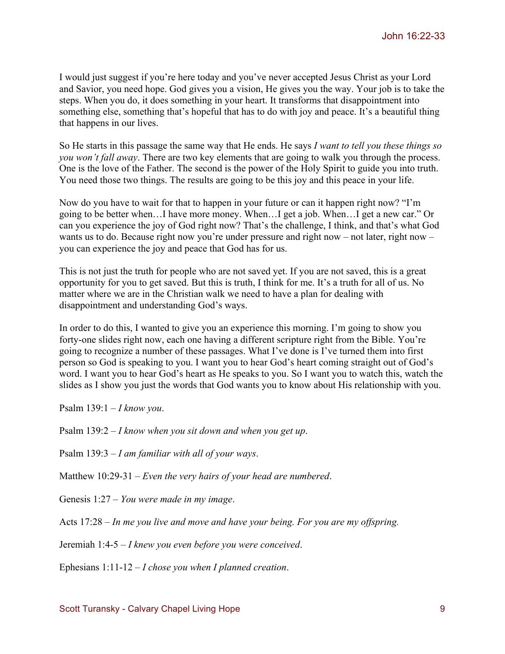I would just suggest if you're here today and you've never accepted Jesus Christ as your Lord and Savior, you need hope. God gives you a vision, He gives you the way. Your job is to take the steps. When you do, it does something in your heart. It transforms that disappointment into something else, something that's hopeful that has to do with joy and peace. It's a beautiful thing that happens in our lives.

So He starts in this passage the same way that He ends. He says *I want to tell you these things so you won't fall away*. There are two key elements that are going to walk you through the process. One is the love of the Father. The second is the power of the Holy Spirit to guide you into truth. You need those two things. The results are going to be this joy and this peace in your life.

Now do you have to wait for that to happen in your future or can it happen right now? "I'm going to be better when…I have more money. When…I get a job. When…I get a new car." Or can you experience the joy of God right now? That's the challenge, I think, and that's what God wants us to do. Because right now you're under pressure and right now – not later, right now – you can experience the joy and peace that God has for us.

This is not just the truth for people who are not saved yet. If you are not saved, this is a great opportunity for you to get saved. But this is truth, I think for me. It's a truth for all of us. No matter where we are in the Christian walk we need to have a plan for dealing with disappointment and understanding God's ways.

In order to do this, I wanted to give you an experience this morning. I'm going to show you forty-one slides right now, each one having a different scripture right from the Bible. You're going to recognize a number of these passages. What I've done is I've turned them into first person so God is speaking to you. I want you to hear God's heart coming straight out of God's word. I want you to hear God's heart as He speaks to you. So I want you to watch this, watch the slides as I show you just the words that God wants you to know about His relationship with you.

Psalm 139:1 – *I know you*.

Psalm 139:2 – *I know when you sit down and when you get up*.

Psalm 139:3 – *I am familiar with all of your ways*.

Matthew 10:29-31 – *Even the very hairs of your head are numbered*.

Genesis 1:27 – *You were made in my image*.

Acts 17:28 – *In me you live and move and have your being. For you are my offspring.*

Jeremiah 1:4-5 – *I knew you even before you were conceived*.

Ephesians 1:11-12 – *I chose you when I planned creation*.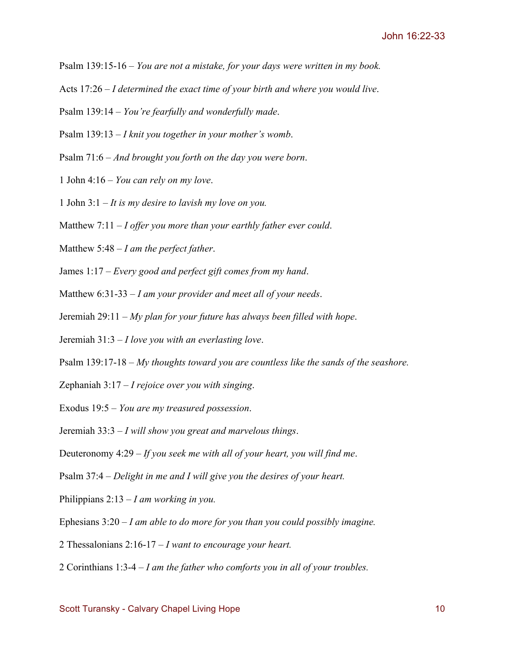- Psalm 139:15-16 *You are not a mistake, for your days were written in my book.*
- Acts 17:26 *I determined the exact time of your birth and where you would live*.
- Psalm 139:14 *You're fearfully and wonderfully made*.
- Psalm 139:13 *I knit you together in your mother's womb*.
- Psalm 71:6 *And brought you forth on the day you were born*.
- 1 John 4:16 *You can rely on my love*.
- 1 John 3:1 *It is my desire to lavish my love on you.*
- Matthew 7:11 *I offer you more than your earthly father ever could*.
- Matthew 5:48 *I am the perfect father*.
- James 1:17 *Every good and perfect gift comes from my hand*.
- Matthew 6:31-33 *I am your provider and meet all of your needs*.
- Jeremiah 29:11 *My plan for your future has always been filled with hope*.
- Jeremiah 31:3 *I love you with an everlasting love*.
- Psalm 139:17-18 *My thoughts toward you are countless like the sands of the seashore.*
- Zephaniah 3:17 *I rejoice over you with singing*.
- Exodus 19:5 *You are my treasured possession*.
- Jeremiah 33:3 *I will show you great and marvelous things*.
- Deuteronomy 4:29 *If you seek me with all of your heart, you will find me*.
- Psalm 37:4 *Delight in me and I will give you the desires of your heart.*
- Philippians 2:13 *I am working in you.*
- Ephesians 3:20 *I am able to do more for you than you could possibly imagine.*
- 2 Thessalonians 2:16-17 *I want to encourage your heart.*
- 2 Corinthians 1:3-4 *I am the father who comforts you in all of your troubles.*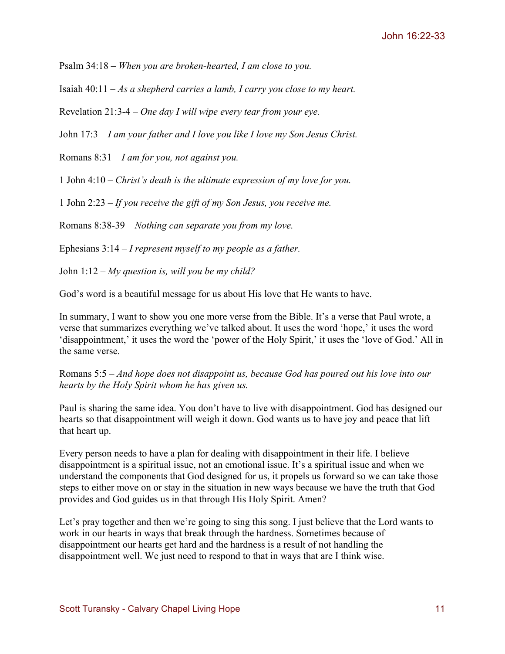Psalm 34:18 – *When you are broken-hearted, I am close to you.*

Isaiah 40:11 – *As a shepherd carries a lamb, I carry you close to my heart.*

Revelation 21:3-4 – *One day I will wipe every tear from your eye.*

John 17:3 – *I am your father and I love you like I love my Son Jesus Christ.*

Romans 8:31 – *I am for you, not against you.*

1 John 4:10 – *Christ's death is the ultimate expression of my love for you.*

1 John 2:23 – *If you receive the gift of my Son Jesus, you receive me.*

Romans 8:38-39 – *Nothing can separate you from my love.*

Ephesians 3:14 – *I represent myself to my people as a father.*

John 1:12 – *My question is, will you be my child?*

God's word is a beautiful message for us about His love that He wants to have.

In summary, I want to show you one more verse from the Bible. It's a verse that Paul wrote, a verse that summarizes everything we've talked about. It uses the word 'hope,' it uses the word 'disappointment,' it uses the word the 'power of the Holy Spirit,' it uses the 'love of God.' All in the same verse.

Romans 5:5 – *And hope does not disappoint us, because God has poured out his love into our hearts by the Holy Spirit whom he has given us.* 

Paul is sharing the same idea. You don't have to live with disappointment. God has designed our hearts so that disappointment will weigh it down. God wants us to have joy and peace that lift that heart up.

Every person needs to have a plan for dealing with disappointment in their life. I believe disappointment is a spiritual issue, not an emotional issue. It's a spiritual issue and when we understand the components that God designed for us, it propels us forward so we can take those steps to either move on or stay in the situation in new ways because we have the truth that God provides and God guides us in that through His Holy Spirit. Amen?

Let's pray together and then we're going to sing this song. I just believe that the Lord wants to work in our hearts in ways that break through the hardness. Sometimes because of disappointment our hearts get hard and the hardness is a result of not handling the disappointment well. We just need to respond to that in ways that are I think wise.